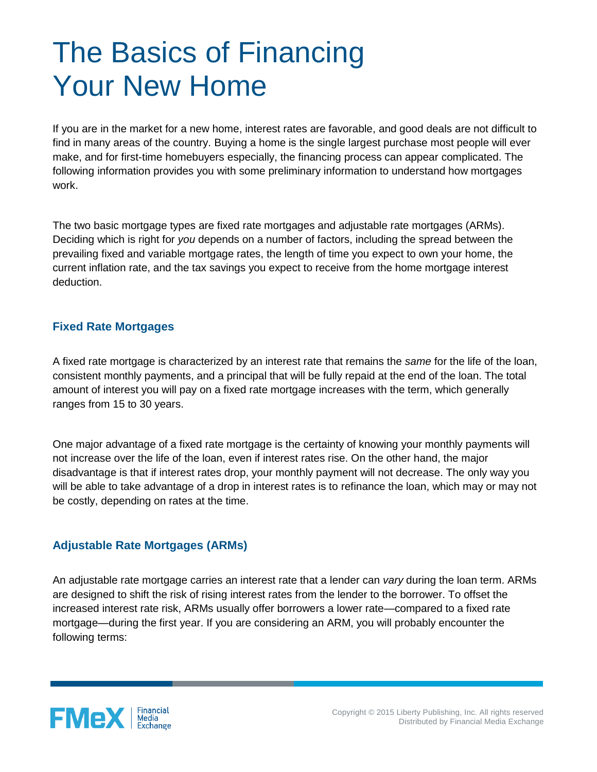## The Basics of Financing Your New Home

If you are in the market for a new home, interest rates are favorable, and good deals are not difficult to find in many areas of the country. Buying a home is the single largest purchase most people will ever make, and for first-time homebuyers especially, the financing process can appear complicated. The following information provides you with some preliminary information to understand how mortgages work.

The two basic mortgage types are fixed rate mortgages and adjustable rate mortgages (ARMs). Deciding which is right for *you* depends on a number of factors, including the spread between the prevailing fixed and variable mortgage rates, the length of time you expect to own your home, the current inflation rate, and the tax savings you expect to receive from the home mortgage interest deduction.

## **Fixed Rate Mortgages**

A fixed rate mortgage is characterized by an interest rate that remains the *same* for the life of the loan, consistent monthly payments, and a principal that will be fully repaid at the end of the loan. The total amount of interest you will pay on a fixed rate mortgage increases with the term, which generally ranges from 15 to 30 years.

One major advantage of a fixed rate mortgage is the certainty of knowing your monthly payments will not increase over the life of the loan, even if interest rates rise. On the other hand, the major disadvantage is that if interest rates drop, your monthly payment will not decrease. The only way you will be able to take advantage of a drop in interest rates is to refinance the loan, which may or may not be costly, depending on rates at the time.

## **Adjustable Rate Mortgages (ARMs)**

An adjustable rate mortgage carries an interest rate that a lender can *vary* during the loan term. ARMs are designed to shift the risk of rising interest rates from the lender to the borrower. To offset the increased interest rate risk, ARMs usually offer borrowers a lower rate—compared to a fixed rate mortgage—during the first year. If you are considering an ARM, you will probably encounter the following terms: